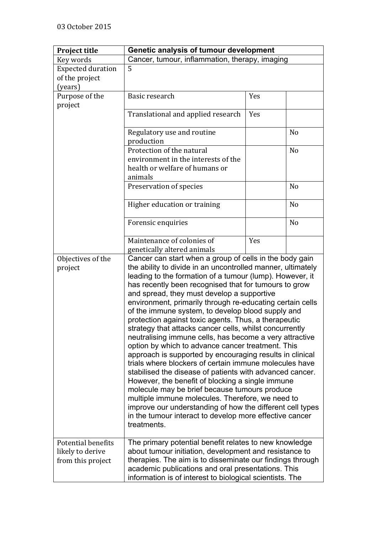| <b>Project title</b>                                        | Genetic analysis of tumour development                                                                                                                                                                                                                                                                                                                                                                                                                                                                                                                                                                                                                                                                                                                                                                                                                                                                                                                                                                                                                                                                                           |     |                |
|-------------------------------------------------------------|----------------------------------------------------------------------------------------------------------------------------------------------------------------------------------------------------------------------------------------------------------------------------------------------------------------------------------------------------------------------------------------------------------------------------------------------------------------------------------------------------------------------------------------------------------------------------------------------------------------------------------------------------------------------------------------------------------------------------------------------------------------------------------------------------------------------------------------------------------------------------------------------------------------------------------------------------------------------------------------------------------------------------------------------------------------------------------------------------------------------------------|-----|----------------|
| Key words                                                   | Cancer, tumour, inflammation, therapy, imaging                                                                                                                                                                                                                                                                                                                                                                                                                                                                                                                                                                                                                                                                                                                                                                                                                                                                                                                                                                                                                                                                                   |     |                |
| <b>Expected duration</b>                                    | 5                                                                                                                                                                                                                                                                                                                                                                                                                                                                                                                                                                                                                                                                                                                                                                                                                                                                                                                                                                                                                                                                                                                                |     |                |
| of the project                                              |                                                                                                                                                                                                                                                                                                                                                                                                                                                                                                                                                                                                                                                                                                                                                                                                                                                                                                                                                                                                                                                                                                                                  |     |                |
| (years)                                                     |                                                                                                                                                                                                                                                                                                                                                                                                                                                                                                                                                                                                                                                                                                                                                                                                                                                                                                                                                                                                                                                                                                                                  |     |                |
| Purpose of the                                              | Basic research                                                                                                                                                                                                                                                                                                                                                                                                                                                                                                                                                                                                                                                                                                                                                                                                                                                                                                                                                                                                                                                                                                                   | Yes |                |
| project                                                     |                                                                                                                                                                                                                                                                                                                                                                                                                                                                                                                                                                                                                                                                                                                                                                                                                                                                                                                                                                                                                                                                                                                                  |     |                |
|                                                             | Translational and applied research                                                                                                                                                                                                                                                                                                                                                                                                                                                                                                                                                                                                                                                                                                                                                                                                                                                                                                                                                                                                                                                                                               | Yes |                |
|                                                             | Regulatory use and routine<br>production                                                                                                                                                                                                                                                                                                                                                                                                                                                                                                                                                                                                                                                                                                                                                                                                                                                                                                                                                                                                                                                                                         |     | N <sub>o</sub> |
|                                                             | Protection of the natural                                                                                                                                                                                                                                                                                                                                                                                                                                                                                                                                                                                                                                                                                                                                                                                                                                                                                                                                                                                                                                                                                                        |     | N <sub>o</sub> |
|                                                             | environment in the interests of the                                                                                                                                                                                                                                                                                                                                                                                                                                                                                                                                                                                                                                                                                                                                                                                                                                                                                                                                                                                                                                                                                              |     |                |
|                                                             | health or welfare of humans or                                                                                                                                                                                                                                                                                                                                                                                                                                                                                                                                                                                                                                                                                                                                                                                                                                                                                                                                                                                                                                                                                                   |     |                |
|                                                             | animals                                                                                                                                                                                                                                                                                                                                                                                                                                                                                                                                                                                                                                                                                                                                                                                                                                                                                                                                                                                                                                                                                                                          |     |                |
|                                                             | Preservation of species                                                                                                                                                                                                                                                                                                                                                                                                                                                                                                                                                                                                                                                                                                                                                                                                                                                                                                                                                                                                                                                                                                          |     | N <sub>0</sub> |
|                                                             |                                                                                                                                                                                                                                                                                                                                                                                                                                                                                                                                                                                                                                                                                                                                                                                                                                                                                                                                                                                                                                                                                                                                  |     |                |
|                                                             | Higher education or training                                                                                                                                                                                                                                                                                                                                                                                                                                                                                                                                                                                                                                                                                                                                                                                                                                                                                                                                                                                                                                                                                                     |     | N <sub>o</sub> |
|                                                             | Forensic enquiries                                                                                                                                                                                                                                                                                                                                                                                                                                                                                                                                                                                                                                                                                                                                                                                                                                                                                                                                                                                                                                                                                                               |     | N <sub>o</sub> |
|                                                             | Maintenance of colonies of<br>genetically altered animals                                                                                                                                                                                                                                                                                                                                                                                                                                                                                                                                                                                                                                                                                                                                                                                                                                                                                                                                                                                                                                                                        | Yes |                |
| Objectives of the                                           |                                                                                                                                                                                                                                                                                                                                                                                                                                                                                                                                                                                                                                                                                                                                                                                                                                                                                                                                                                                                                                                                                                                                  |     |                |
| project                                                     | Cancer can start when a group of cells in the body gain<br>the ability to divide in an uncontrolled manner, ultimately<br>leading to the formation of a tumour (lump). However, it<br>has recently been recognised that for tumours to grow<br>and spread, they must develop a supportive<br>environment, primarily through re-educating certain cells<br>of the immune system, to develop blood supply and<br>protection against toxic agents. Thus, a therapeutic<br>strategy that attacks cancer cells, whilst concurrently<br>neutralising immune cells, has become a very attractive<br>option by which to advance cancer treatment. This<br>approach is supported by encouraging results in clinical<br>trials where blockers of certain immune molecules have<br>stabilised the disease of patients with advanced cancer.<br>However, the benefit of blocking a single immune<br>molecule may be brief because tumours produce<br>multiple immune molecules. Therefore, we need to<br>improve our understanding of how the different cell types<br>in the tumour interact to develop more effective cancer<br>treatments. |     |                |
| Potential benefits<br>likely to derive<br>from this project | The primary potential benefit relates to new knowledge<br>about tumour initiation, development and resistance to<br>therapies. The aim is to disseminate our findings through<br>academic publications and oral presentations. This<br>information is of interest to biological scientists. The                                                                                                                                                                                                                                                                                                                                                                                                                                                                                                                                                                                                                                                                                                                                                                                                                                  |     |                |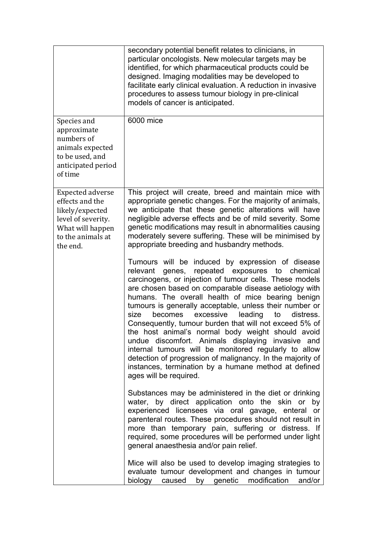|                                                                                                                                          | secondary potential benefit relates to clinicians, in<br>particular oncologists. New molecular targets may be<br>identified, for which pharmaceutical products could be<br>designed. Imaging modalities may be developed to<br>facilitate early clinical evaluation. A reduction in invasive<br>procedures to assess tumour biology in pre-clinical<br>models of cancer is anticipated.                                                                                                                                                                                                                                                                                                                                                                                                       |
|------------------------------------------------------------------------------------------------------------------------------------------|-----------------------------------------------------------------------------------------------------------------------------------------------------------------------------------------------------------------------------------------------------------------------------------------------------------------------------------------------------------------------------------------------------------------------------------------------------------------------------------------------------------------------------------------------------------------------------------------------------------------------------------------------------------------------------------------------------------------------------------------------------------------------------------------------|
| Species and<br>approximate<br>numbers of<br>animals expected<br>to be used, and<br>anticipated period<br>of time                         | 6000 mice                                                                                                                                                                                                                                                                                                                                                                                                                                                                                                                                                                                                                                                                                                                                                                                     |
| <b>Expected adverse</b><br>effects and the<br>likely/expected<br>level of severity.<br>What will happen<br>to the animals at<br>the end. | This project will create, breed and maintain mice with<br>appropriate genetic changes. For the majority of animals,<br>we anticipate that these genetic alterations will have<br>negligible adverse effects and be of mild severity. Some<br>genetic modifications may result in abnormalities causing<br>moderately severe suffering. These will be minimised by<br>appropriate breeding and husbandry methods.                                                                                                                                                                                                                                                                                                                                                                              |
|                                                                                                                                          | Tumours will be induced by expression of disease<br>repeated exposures<br>to<br>relevant<br>genes,<br>chemical<br>carcinogens, or injection of tumour cells. These models<br>are chosen based on comparable disease aetiology with<br>humans. The overall health of mice bearing benign<br>tumours is generally acceptable, unless their number or<br>excessive<br>leading<br>size<br>becomes<br>to<br>distress.<br>Consequently, tumour burden that will not exceed 5% of<br>the host animal's normal body weight should avoid<br>undue discomfort. Animals displaying invasive and<br>internal tumours will be monitored regularly to allow<br>detection of progression of malignancy. In the majority of<br>instances, termination by a humane method at defined<br>ages will be required. |
|                                                                                                                                          | Substances may be administered in the diet or drinking<br>water, by direct application onto the skin or by<br>experienced licensees via oral gavage, enteral<br>or<br>parenteral routes. These procedures should not result in<br>more than temporary pain, suffering or distress. If<br>required, some procedures will be performed under light<br>general anaesthesia and/or pain relief.                                                                                                                                                                                                                                                                                                                                                                                                   |
|                                                                                                                                          | Mice will also be used to develop imaging strategies to<br>evaluate tumour development and changes in tumour<br>modification<br>biology<br>by genetic<br>caused<br>and/or                                                                                                                                                                                                                                                                                                                                                                                                                                                                                                                                                                                                                     |